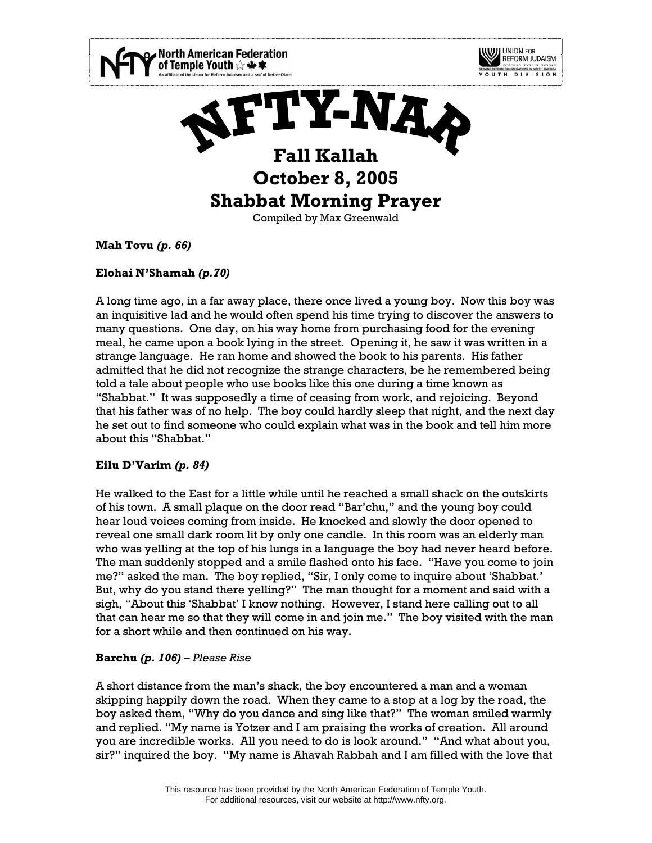

**Mah Tovu** *(p. 66)*

# **Elohai N'Shamah** *(p.70)*

A long time ago, in a far away place, there once lived a young boy. Now this boy was an inquisitive lad and he would often spend his time trying to discover the answers to many questions. One day, on his way home from purchasing food for the evening meal, he came upon a book lying in the street. Opening it, he saw it was written in a strange language. He ran home and showed the book to his parents. His father admitted that he did not recognize the strange characters, be he remembered being told a tale about people who use books like this one during a time known as "Shabbat." It was supposedly a time of ceasing from work, and rejoicing. Beyond that his father was of no help. The boy could hardly sleep that night, and the next day he set out to find someone who could explain what was in the book and tell him more about this "Shabbat."

# **Eilu D'Varim** *(p. 84)*

He walked to the East for a little while until he reached a small shack on the outskirts of his town. A small plaque on the door read "Bar'chu," and the young boy could hear loud voices coming from inside. He knocked and slowly the door opened to reveal one small dark room lit by only one candle. In this room was an elderly man who was yelling at the top of his lungs in a language the boy had never heard before. The man suddenly stopped and a smile flashed onto his face. "Have you come to join me?" asked the man. The boy replied, "Sir, I only come to inquire about 'Shabbat.' But, why do you stand there yelling?" The man thought for a moment and said with a sigh, "About this 'Shabbat' I know nothing. However, I stand here calling out to all that can hear me so that they will come in and join me." The boy visited with the man for a short while and then continued on his way.

# **Barchu** *(p. 106) – Please Rise*

A short distance from the man's shack, the boy encountered a man and a woman skipping happily down the road. When they came to a stop at a log by the road, the boy asked them, "Why do you dance and sing like that?" The woman smiled warmly and replied. "My name is Yotzer and I am praising the works of creation. All around you are incredible works. All you need to do is look around." "And what about you, sir?" inquired the boy. "My name is Ahavah Rabbah and I am filled with the love that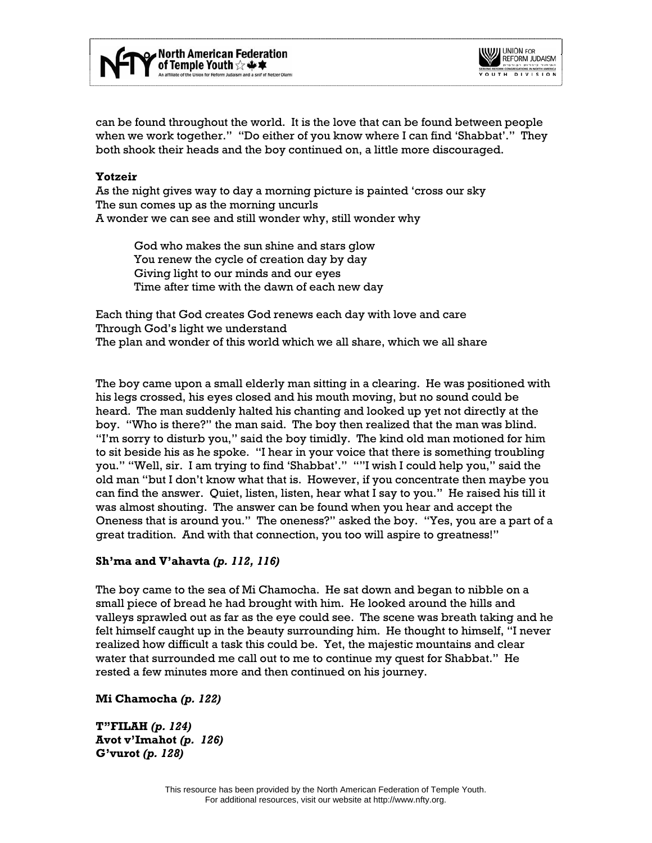



can be found throughout the world. It is the love that can be found between people when we work together." "Do either of you know where I can find 'Shabbat'." They both shook their heads and the boy continued on, a little more discouraged.

### **Yotzeir**

As the night gives way to day a morning picture is painted 'cross our sky The sun comes up as the morning uncurls A wonder we can see and still wonder why, still wonder why

 God who makes the sun shine and stars glow You renew the cycle of creation day by day Giving light to our minds and our eyes Time after time with the dawn of each new day

Each thing that God creates God renews each day with love and care Through God's light we understand The plan and wonder of this world which we all share, which we all share

The boy came upon a small elderly man sitting in a clearing. He was positioned with his legs crossed, his eyes closed and his mouth moving, but no sound could be heard. The man suddenly halted his chanting and looked up yet not directly at the boy. "Who is there?" the man said. The boy then realized that the man was blind. "I'm sorry to disturb you," said the boy timidly. The kind old man motioned for him to sit beside his as he spoke. "I hear in your voice that there is something troubling you." "Well, sir. I am trying to find 'Shabbat'." ""I wish I could help you," said the old man "but I don't know what that is. However, if you concentrate then maybe you can find the answer. Quiet, listen, listen, hear what I say to you." He raised his till it was almost shouting. The answer can be found when you hear and accept the Oneness that is around you." The oneness?" asked the boy. "Yes, you are a part of a great tradition. And with that connection, you too will aspire to greatness!"

### **Sh'ma and V'ahavta** *(p. 112, 116)*

The boy came to the sea of Mi Chamocha. He sat down and began to nibble on a small piece of bread he had brought with him. He looked around the hills and valleys sprawled out as far as the eye could see. The scene was breath taking and he felt himself caught up in the beauty surrounding him. He thought to himself, "I never realized how difficult a task this could be. Yet, the majestic mountains and clear water that surrounded me call out to me to continue my quest for Shabbat." He rested a few minutes more and then continued on his journey.

#### **Mi Chamocha** *(p. 122)*

**T"FILAH** *(p. 124)* **Avot v'Imahot** *(p. 126)* **G'vurot** *(p. 128)*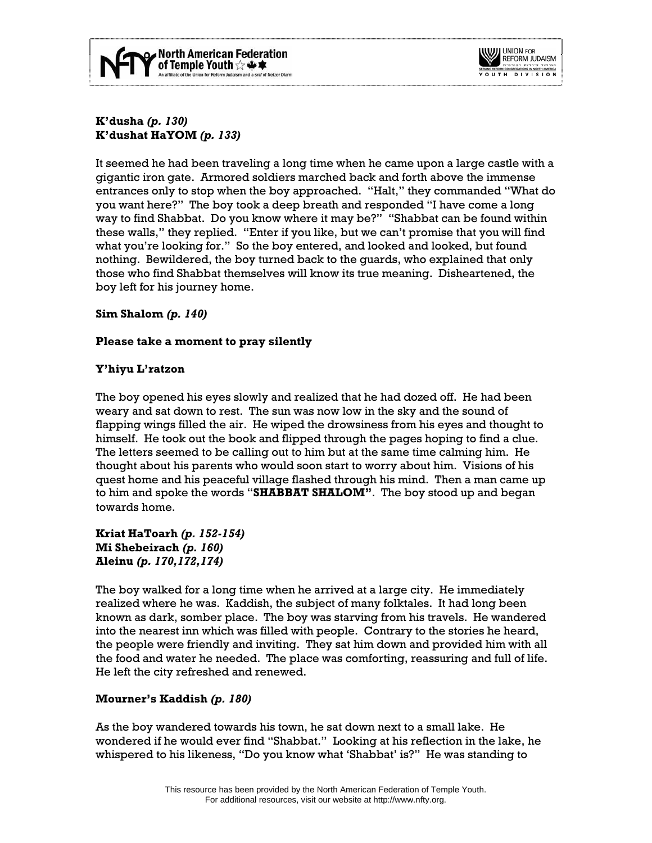



**K'dusha** *(p. 130)* **K'dushat HaYOM** *(p. 133)*

It seemed he had been traveling a long time when he came upon a large castle with a gigantic iron gate. Armored soldiers marched back and forth above the immense entrances only to stop when the boy approached. "Halt," they commanded "What do you want here?" The boy took a deep breath and responded "I have come a long way to find Shabbat. Do you know where it may be?" "Shabbat can be found within these walls," they replied. "Enter if you like, but we can't promise that you will find what you're looking for." So the boy entered, and looked and looked, but found nothing. Bewildered, the boy turned back to the guards, who explained that only those who find Shabbat themselves will know its true meaning. Disheartened, the boy left for his journey home.

### **Sim Shalom** *(p. 140)*

## **Please take a moment to pray silently**

## **Y'hiyu L'ratzon**

The boy opened his eyes slowly and realized that he had dozed off. He had been weary and sat down to rest. The sun was now low in the sky and the sound of flapping wings filled the air. He wiped the drowsiness from his eyes and thought to himself. He took out the book and flipped through the pages hoping to find a clue. The letters seemed to be calling out to him but at the same time calming him. He thought about his parents who would soon start to worry about him. Visions of his quest home and his peaceful village flashed through his mind. Then a man came up to him and spoke the words "**SHABBAT SHALOM"**. The boy stood up and began towards home.

**Kriat HaToarh** *(p. 152-154)* **Mi Shebeirach** *(p. 160)* **Aleinu** *(p. 170,172,174)*

The boy walked for a long time when he arrived at a large city. He immediately realized where he was. Kaddish, the subject of many folktales. It had long been known as dark, somber place. The boy was starving from his travels. He wandered into the nearest inn which was filled with people. Contrary to the stories he heard, the people were friendly and inviting. They sat him down and provided him with all the food and water he needed. The place was comforting, reassuring and full of life. He left the city refreshed and renewed.

### **Mourner's Kaddish** *(p. 180)*

As the boy wandered towards his town, he sat down next to a small lake. He wondered if he would ever find "Shabbat." Looking at his reflection in the lake, he whispered to his likeness, "Do you know what 'Shabbat' is?" He was standing to